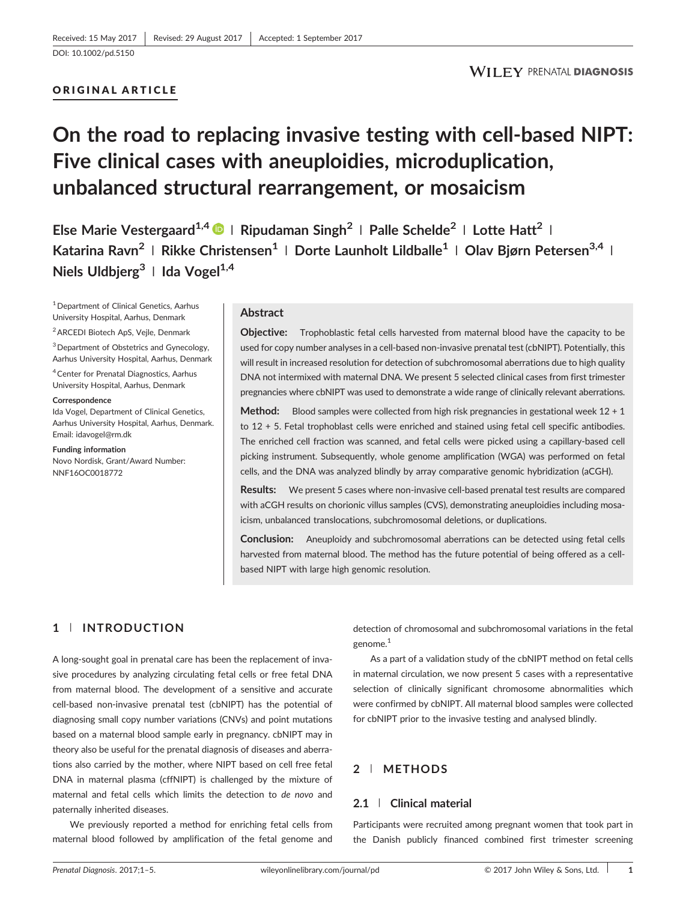## ORIGINAL ARTICLE

# On the road to replacing invasive testing with cell‐based NIPT: Five clinical cases with aneuploidies, microduplication, unbalanced structural rearrangement, or mosaicism

Else Marie Vestergaard<sup>1,4</sup>  $\bullet$  | Ripudaman Singh<sup>2</sup> | Palle Schelde<sup>2</sup> | Lotte Hatt<sup>2</sup> | Katarina Ravn<sup>2</sup> | Rikke Christensen<sup>1</sup> | Dorte Launholt Lildballe<sup>1</sup> | Olav Biørn Petersen<sup>3,4</sup> | Niels Uldbierg<sup>3</sup> | Ida Vogel<sup>1,4</sup>

1Department of Clinical Genetics, Aarhus University Hospital, Aarhus, Denmark

2ARCEDI Biotech ApS, Vejle, Denmark

3Department of Obstetrics and Gynecology, Aarhus University Hospital, Aarhus, Denmark

4Center for Prenatal Diagnostics, Aarhus University Hospital, Aarhus, Denmark

#### **Correspondence**

Ida Vogel, Department of Clinical Genetics, Aarhus University Hospital, Aarhus, Denmark. Email: [idavogel@rm.dk](mailto:idavogel@rm.dk)

#### Funding information

Novo Nordisk, Grant/Award Number: NNF16OC0018772

#### Abstract

Objective: Trophoblastic fetal cells harvested from maternal blood have the capacity to be used for copy number analyses in a cell-based non-invasive prenatal test (cbNIPT). Potentially, this will result in increased resolution for detection of subchromosomal aberrations due to high quality DNA not intermixed with maternal DNA. We present 5 selected clinical cases from first trimester pregnancies where cbNIPT was used to demonstrate a wide range of clinically relevant aberrations.

**Method:** Blood samples were collected from high risk pregnancies in gestational week  $12 + 1$ to 12 + 5. Fetal trophoblast cells were enriched and stained using fetal cell specific antibodies. The enriched cell fraction was scanned, and fetal cells were picked using a capillary‐based cell picking instrument. Subsequently, whole genome amplification (WGA) was performed on fetal cells, and the DNA was analyzed blindly by array comparative genomic hybridization (aCGH).

Results: We present 5 cases where non-invasive cell-based prenatal test results are compared with aCGH results on chorionic villus samples (CVS), demonstrating aneuploidies including mosaicism, unbalanced translocations, subchromosomal deletions, or duplications.

**Conclusion:** Aneuploidy and subchromosomal aberrations can be detected using fetal cells harvested from maternal blood. The method has the future potential of being offered as a cellbased NIPT with large high genomic resolution.

# 1 | INTRODUCTION

A long‐sought goal in prenatal care has been the replacement of invasive procedures by analyzing circulating fetal cells or free fetal DNA from maternal blood. The development of a sensitive and accurate cell-based non-invasive prenatal test (cbNIPT) has the potential of diagnosing small copy number variations (CNVs) and point mutations based on a maternal blood sample early in pregnancy. cbNIPT may in theory also be useful for the prenatal diagnosis of diseases and aberrations also carried by the mother, where NIPT based on cell free fetal DNA in maternal plasma (cffNIPT) is challenged by the mixture of maternal and fetal cells which limits the detection to de novo and paternally inherited diseases.

We previously reported a method for enriching fetal cells from maternal blood followed by amplification of the fetal genome and detection of chromosomal and subchromosomal variations in the fetal genome.<sup>1</sup>

As a part of a validation study of the cbNIPT method on fetal cells in maternal circulation, we now present 5 cases with a representative selection of clinically significant chromosome abnormalities which were confirmed by cbNIPT. All maternal blood samples were collected for cbNIPT prior to the invasive testing and analysed blindly.

## 2 | METHODS

## 2.1 | Clinical material

Participants were recruited among pregnant women that took part in the Danish publicly financed combined first trimester screening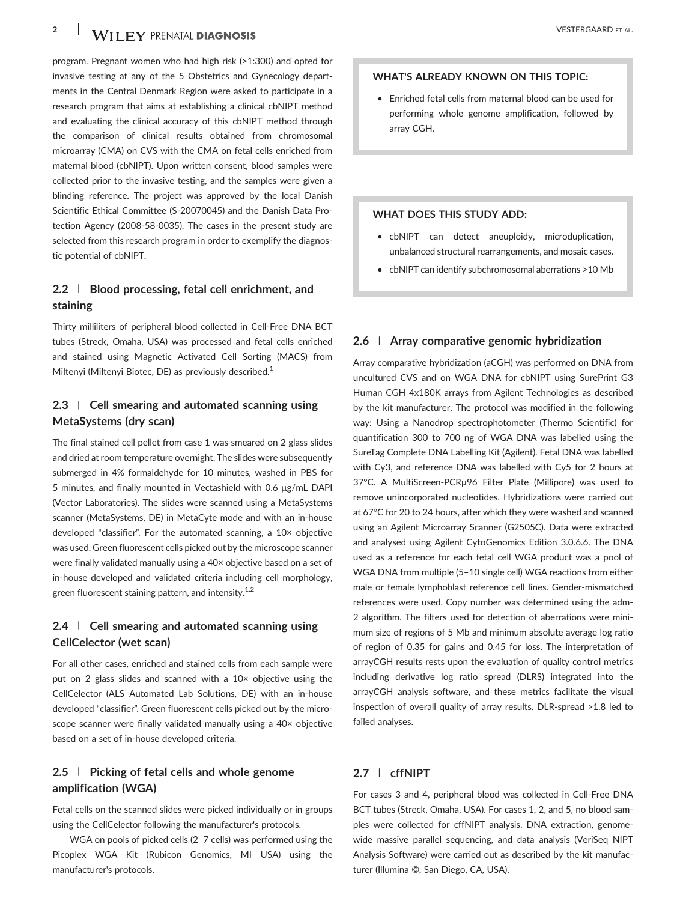program. Pregnant women who had high risk (>1:300) and opted for invasive testing at any of the 5 Obstetrics and Gynecology departments in the Central Denmark Region were asked to participate in a research program that aims at establishing a clinical cbNIPT method and evaluating the clinical accuracy of this cbNIPT method through the comparison of clinical results obtained from chromosomal microarray (CMA) on CVS with the CMA on fetal cells enriched from maternal blood (cbNIPT). Upon written consent, blood samples were collected prior to the invasive testing, and the samples were given a blinding reference. The project was approved by the local Danish Scientific Ethical Committee (S‐20070045) and the Danish Data Protection Agency (2008‐58‐0035). The cases in the present study are selected from this research program in order to exemplify the diagnostic potential of cbNIPT.

## 2.2 | Blood processing, fetal cell enrichment, and staining

Thirty milliliters of peripheral blood collected in Cell‐Free DNA BCT tubes (Streck, Omaha, USA) was processed and fetal cells enriched and stained using Magnetic Activated Cell Sorting (MACS) from Miltenyi (Miltenyi Biotec, DE) as previously described.<sup>1</sup>

# 2.3 | Cell smearing and automated scanning using MetaSystems (dry scan)

The final stained cell pellet from case 1 was smeared on 2 glass slides and dried at room temperature overnight. The slides were subsequently submerged in 4% formaldehyde for 10 minutes, washed in PBS for 5 minutes, and finally mounted in Vectashield with 0.6 μg/mL DAPI (Vector Laboratories). The slides were scanned using a MetaSystems scanner (MetaSystems, DE) in MetaCyte mode and with an in‐house developed "classifier". For the automated scanning, a 10× objective was used. Green fluorescent cells picked out by the microscope scanner were finally validated manually using a 40× objective based on a set of in‐house developed and validated criteria including cell morphology, green fluorescent staining pattern, and intensity.<sup>1,2</sup>

# $2.4$  | Cell smearing and automated scanning using CellCelector (wet scan)

For all other cases, enriched and stained cells from each sample were put on 2 glass slides and scanned with a 10× objective using the CellCelector (ALS Automated Lab Solutions, DE) with an in‐house developed "classifier". Green fluorescent cells picked out by the microscope scanner were finally validated manually using a 40× objective based on a set of in‐house developed criteria.

## 2.5 | Picking of fetal cells and whole genome amplification (WGA)

Fetal cells on the scanned slides were picked individually or in groups using the CellCelector following the manufacturer's protocols.

WGA on pools of picked cells (2–7 cells) was performed using the Picoplex WGA Kit (Rubicon Genomics, MI USA) using the manufacturer's protocols.

## WHAT'S ALREADY KNOWN ON THIS TOPIC:

• Enriched fetal cells from maternal blood can be used for performing whole genome amplification, followed by array CGH.

#### WHAT DOES THIS STUDY ADD:

- cbNIPT can detect aneuploidy, microduplication, unbalanced structural rearrangements, and mosaic cases.
- cbNIPT can identify subchromosomal aberrations >10 Mb

#### 2.6 | Array comparative genomic hybridization

Array comparative hybridization (aCGH) was performed on DNA from uncultured CVS and on WGA DNA for cbNIPT using SurePrint G3 Human CGH 4x180K arrays from Agilent Technologies as described by the kit manufacturer. The protocol was modified in the following way: Using a Nanodrop spectrophotometer (Thermo Scientific) for quantification 300 to 700 ng of WGA DNA was labelled using the SureTag Complete DNA Labelling Kit (Agilent). Fetal DNA was labelled with Cy3, and reference DNA was labelled with Cy5 for 2 hours at 37°C. A MultiScreen‐PCRμ96 Filter Plate (Millipore) was used to remove unincorporated nucleotides. Hybridizations were carried out at 67°C for 20 to 24 hours, after which they were washed and scanned using an Agilent Microarray Scanner (G2505C). Data were extracted and analysed using Agilent CytoGenomics Edition 3.0.6.6. The DNA used as a reference for each fetal cell WGA product was a pool of WGA DNA from multiple (5–10 single cell) WGA reactions from either male or female lymphoblast reference cell lines. Gender‐mismatched references were used. Copy number was determined using the adm-2 algorithm. The filters used for detection of aberrations were minimum size of regions of 5 Mb and minimum absolute average log ratio of region of 0.35 for gains and 0.45 for loss. The interpretation of arrayCGH results rests upon the evaluation of quality control metrics including derivative log ratio spread (DLRS) integrated into the arrayCGH analysis software, and these metrics facilitate the visual inspection of overall quality of array results. DLR‐spread >1.8 led to failed analyses.

## 2.7 | cffNIPT

For cases 3 and 4, peripheral blood was collected in Cell-Free DNA BCT tubes (Streck, Omaha, USA). For cases 1, 2, and 5, no blood samples were collected for cffNIPT analysis. DNA extraction, genome‐ wide massive parallel sequencing, and data analysis (VeriSeq NIPT Analysis Software) were carried out as described by the kit manufacturer (Illumina ©, San Diego, CA, USA).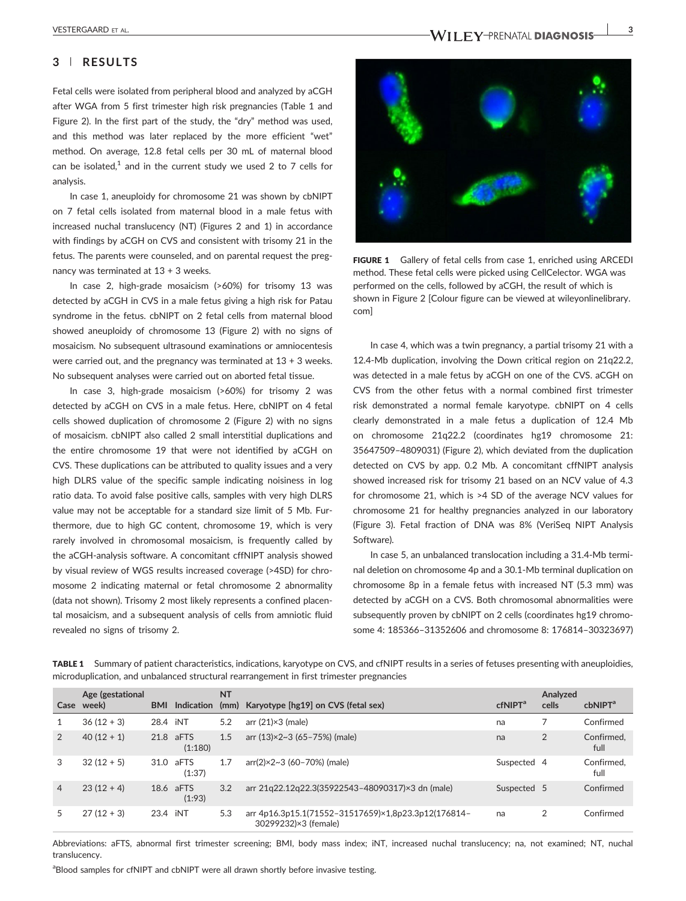### 3 | RESULTS

Fetal cells were isolated from peripheral blood and analyzed by aCGH after WGA from 5 first trimester high risk pregnancies (Table 1 and Figure 2). In the first part of the study, the "dry" method was used, and this method was later replaced by the more efficient "wet" method. On average, 12.8 fetal cells per 30 mL of maternal blood can be isolated.<sup>1</sup> and in the current study we used 2 to 7 cells for analysis.

In case 1, aneuploidy for chromosome 21 was shown by cbNIPT on 7 fetal cells isolated from maternal blood in a male fetus with increased nuchal translucency (NT) (Figures 2 and 1) in accordance with findings by aCGH on CVS and consistent with trisomy 21 in the fetus. The parents were counseled, and on parental request the pregnancy was terminated at 13 + 3 weeks.

In case 2, high‐grade mosaicism (>60%) for trisomy 13 was detected by aCGH in CVS in a male fetus giving a high risk for Patau syndrome in the fetus. cbNIPT on 2 fetal cells from maternal blood showed aneuploidy of chromosome 13 (Figure 2) with no signs of mosaicism. No subsequent ultrasound examinations or amniocentesis were carried out, and the pregnancy was terminated at 13 + 3 weeks. No subsequent analyses were carried out on aborted fetal tissue.

In case 3, high‐grade mosaicism (>60%) for trisomy 2 was detected by aCGH on CVS in a male fetus. Here, cbNIPT on 4 fetal cells showed duplication of chromosome 2 (Figure 2) with no signs of mosaicism. cbNIPT also called 2 small interstitial duplications and the entire chromosome 19 that were not identified by aCGH on CVS. These duplications can be attributed to quality issues and a very high DLRS value of the specific sample indicating noisiness in log ratio data. To avoid false positive calls, samples with very high DLRS value may not be acceptable for a standard size limit of 5 Mb. Furthermore, due to high GC content, chromosome 19, which is very rarely involved in chromosomal mosaicism, is frequently called by the aCGH‐analysis software. A concomitant cffNIPT analysis showed by visual review of WGS results increased coverage (>4SD) for chromosome 2 indicating maternal or fetal chromosome 2 abnormality (data not shown). Trisomy 2 most likely represents a confined placental mosaicism, and a subsequent analysis of cells from amniotic fluid revealed no signs of trisomy 2.



FIGURE 1 Gallery of fetal cells from case 1, enriched using ARCEDI method. These fetal cells were picked using CellCelector. WGA was performed on the cells, followed by aCGH, the result of which is shown in Figure 2 [Colour figure can be viewed at [wileyonlinelibrary.](http://wileyonlinelibrary.com) [com](http://wileyonlinelibrary.com)]

In case 4, which was a twin pregnancy, a partial trisomy 21 with a 12.4‐Mb duplication, involving the Down critical region on 21q22.2, was detected in a male fetus by aCGH on one of the CVS. aCGH on CVS from the other fetus with a normal combined first trimester risk demonstrated a normal female karyotype. cbNIPT on 4 cells clearly demonstrated in a male fetus a duplication of 12.4 Mb on chromosome 21q22.2 (coordinates hg19 chromosome 21: 35647509–4809031) (Figure 2), which deviated from the duplication detected on CVS by app. 0.2 Mb. A concomitant cffNIPT analysis showed increased risk for trisomy 21 based on an NCV value of 4.3 for chromosome 21, which is >4 SD of the average NCV values for chromosome 21 for healthy pregnancies analyzed in our laboratory (Figure 3). Fetal fraction of DNA was 8% (VeriSeq NIPT Analysis Software).

In case 5, an unbalanced translocation including a 31.4‐Mb terminal deletion on chromosome 4p and a 30.1‐Mb terminal duplication on chromosome 8p in a female fetus with increased NT (5.3 mm) was detected by aCGH on a CVS. Both chromosomal abnormalities were subsequently proven by cbNIPT on 2 cells (coordinates hg19 chromosome 4: 185366–31352606 and chromosome 8: 176814–30323697)

| Case           | Age (gestational<br>week) | <b>BMI</b> | Indication           | <b>NT</b> | (mm) Karyotype [hg19] on CVS (fetal sex)                                    | cfNIPT <sup>a</sup> | Analyzed<br>cells | cbNIPT <sup>a</sup> |
|----------------|---------------------------|------------|----------------------|-----------|-----------------------------------------------------------------------------|---------------------|-------------------|---------------------|
|                | $36(12 + 3)$              | 28.4 iNT   |                      | 5.2       | arr $(21) \times 3$ (male)                                                  | na                  |                   | Confirmed           |
| 2              | $40(12 + 1)$              |            | 21.8 aFTS<br>(1:180) | 1.5       | arr (13)×2~3 (65-75%) (male)                                                | na                  | $\overline{2}$    | Confirmed,<br>full  |
| 3              | $32(12 + 5)$              | 31.0       | aFTS<br>(1:37)       | 1.7       | arr(2)×2~3 (60-70%) (male)                                                  | Suspected 4         |                   | Confirmed.<br>full  |
| $\overline{4}$ | $23(12 + 4)$              |            | 18.6 aFTS<br>(1:93)  | 3.2       | arr 21q22.12q22.3(35922543-48090317)×3 dn (male)                            | Suspected 5         |                   | Confirmed           |
| 5              | $27(12+3)$                | 23.4 iNT   |                      | 5.3       | arr 4p16.3p15.1(71552-31517659)×1.8p23.3p12(176814-<br>30299232)×3 (female) | na                  | $\overline{2}$    | Confirmed           |

TABLE 1 Summary of patient characteristics, indications, karyotype on CVS, and cfNIPT results in a series of fetuses presenting with aneuploidies, microduplication, and unbalanced structural rearrangement in first trimester pregnancies

Abbreviations: aFTS, abnormal first trimester screening; BMI, body mass index; iNT, increased nuchal translucency; na, not examined; NT, nuchal translucency.

<sup>a</sup> Blood samples for cfNIPT and cbNIPT were all drawn shortly before invasive testing.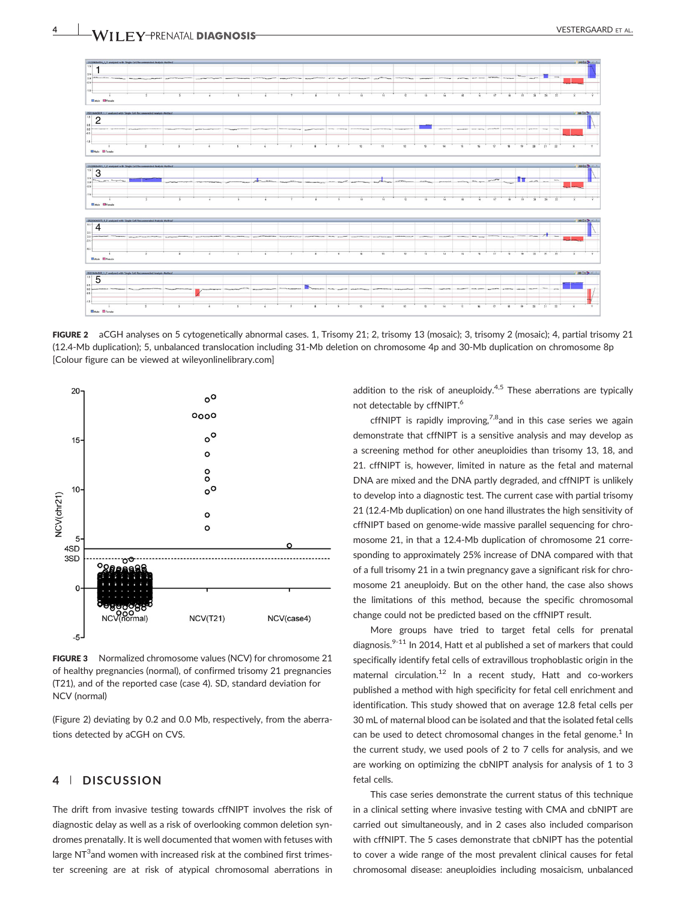

FIGURE 2 aCGH analyses on 5 cytogenetically abnormal cases. 1, Trisomy 21; 2, trisomy 13 (mosaic); 3, trisomy 2 (mosaic); 4, partial trisomy 21 (12.4‐Mb duplication); 5, unbalanced translocation including 31‐Mb deletion on chromosome 4p and 30‐Mb duplication on chromosome 8p [Colour figure can be viewed at [wileyonlinelibrary.com\]](http://wileyonlinelibrary.com)



FIGURE 3 Normalized chromosome values (NCV) for chromosome 21 of healthy pregnancies (normal), of confirmed trisomy 21 pregnancies (T21), and of the reported case (case 4). SD, standard deviation for NCV (normal)

(Figure 2) deviating by 0.2 and 0.0 Mb, respectively, from the aberrations detected by aCGH on CVS.

# 4 | DISCUSSION

The drift from invasive testing towards cffNIPT involves the risk of diagnostic delay as well as a risk of overlooking common deletion syndromes prenatally. It is well documented that women with fetuses with large NT $3$  and women with increased risk at the combined first trimester screening are at risk of atypical chromosomal aberrations in

addition to the risk of aneuploidy.<sup>4,5</sup> These aberrations are typically not detectable by cffNIPT.<sup>6</sup>

cffNIPT is rapidly improving,  $7.8$  and in this case series we again demonstrate that cffNIPT is a sensitive analysis and may develop as a screening method for other aneuploidies than trisomy 13, 18, and 21. cffNIPT is, however, limited in nature as the fetal and maternal DNA are mixed and the DNA partly degraded, and cffNIPT is unlikely to develop into a diagnostic test. The current case with partial trisomy 21 (12.4‐Mb duplication) on one hand illustrates the high sensitivity of cffNIPT based on genome‐wide massive parallel sequencing for chromosome 21, in that a 12.4‐Mb duplication of chromosome 21 corresponding to approximately 25% increase of DNA compared with that of a full trisomy 21 in a twin pregnancy gave a significant risk for chromosome 21 aneuploidy. But on the other hand, the case also shows the limitations of this method, because the specific chromosomal change could not be predicted based on the cffNIPT result.

More groups have tried to target fetal cells for prenatal diagnosis. $9-11$  In 2014, Hatt et al published a set of markers that could specifically identify fetal cells of extravillous trophoblastic origin in the maternal circulation.<sup>12</sup> In a recent study, Hatt and co-workers published a method with high specificity for fetal cell enrichment and identification. This study showed that on average 12.8 fetal cells per 30 mL of maternal blood can be isolated and that the isolated fetal cells can be used to detect chromosomal changes in the fetal genome.<sup>1</sup> In the current study, we used pools of 2 to 7 cells for analysis, and we are working on optimizing the cbNIPT analysis for analysis of 1 to 3 fetal cells.

This case series demonstrate the current status of this technique in a clinical setting where invasive testing with CMA and cbNIPT are carried out simultaneously, and in 2 cases also included comparison with cffNIPT. The 5 cases demonstrate that cbNIPT has the potential to cover a wide range of the most prevalent clinical causes for fetal chromosomal disease: aneuploidies including mosaicism, unbalanced